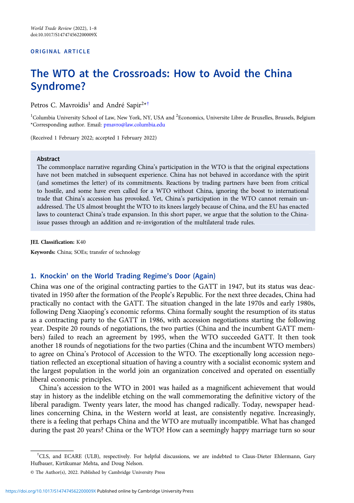#### ORIGINAL ARTICLE

# The WTO at the Crossroads: How to Avoid the China Syndrome?

Petros C. Mavroidis<sup>1</sup> and André Sapir<sup>2\*†</sup>

<sup>1</sup>Columbia University School of Law, New York, NY, USA and <sup>2</sup>Economics, Universite Libre de Bruxelles, Brussels, Belgium \*Corresponding author. Email: [pmavro@law.columbia.edu](mailto:pmavro@law.columbia.edu)

(Received 1 February 2022; accepted 1 February 2022)

#### Abstract

The commonplace narrative regarding China's participation in the WTO is that the original expectations have not been matched in subsequent experience. China has not behaved in accordance with the spirit (and sometimes the letter) of its commitments. Reactions by trading partners have been from critical to hostile, and some have even called for a WTO without China, ignoring the boost to international trade that China's accession has provoked. Yet, China's participation in the WTO cannot remain unaddressed. The US almost brought the WTO to its knees largely because of China, and the EU has enacted laws to counteract China's trade expansion. In this short paper, we argue that the solution to the Chinaissue passes through an addition and re-invigoration of the multilateral trade rules.

#### JEL Classification: K40

Keywords: China; SOEs; transfer of technology

### 1. Knockin' on the World Trading Regime's Door (Again)

China was one of the original contracting parties to the GATT in 1947, but its status was deactivated in 1950 after the formation of the People's Republic. For the next three decades, China had practically no contact with the GATT. The situation changed in the late 1970s and early 1980s, following Deng Xiaoping's economic reforms. China formally sought the resumption of its status as a contracting party to the GATT in 1986, with accession negotiations starting the following year. Despite 20 rounds of negotiations, the two parties (China and the incumbent GATT members) failed to reach an agreement by 1995, when the WTO succeeded GATT. It then took another 18 rounds of negotiations for the two parties (China and the incumbent WTO members) to agree on China's Protocol of Accession to the WTO. The exceptionally long accession negotiation reflected an exceptional situation of having a country with a socialist economic system and the largest population in the world join an organization conceived and operated on essentially liberal economic principles.

China's accession to the WTO in 2001 was hailed as a magnificent achievement that would stay in history as the indelible etching on the wall commemorating the definitive victory of the liberal paradigm. Twenty years later, the mood has changed radically. Today, newspaper headlines concerning China, in the Western world at least, are consistently negative. Increasingly, there is a feeling that perhaps China and the WTO are mutually incompatible. What has changed during the past 20 years? China or the WTO? How can a seemingly happy marriage turn so sour

<sup>†</sup> CLS, and ECARE (ULB), respectively. For helpful discussions, we are indebted to Claus-Dieter Ehlermann, Gary Hufbauer, Kirtikumar Mehta, and Doug Nelson.

<sup>©</sup> The Author(s), 2022. Published by Cambridge University Press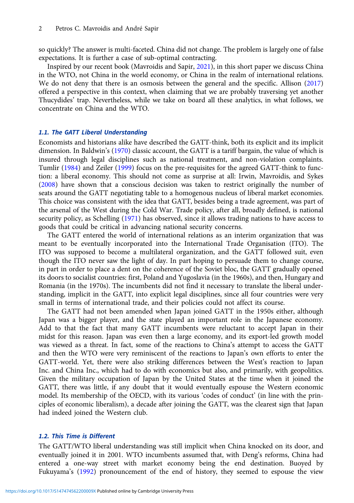so quickly? The answer is multi-faceted. China did not change. The problem is largely one of false expectations. It is further a case of sub-optimal contracting.

Inspired by our recent book (Mavroidis and Sapir, [2021\)](#page-7-0), in this short paper we discuss China in the WTO, not China in the world economy, or China in the realm of international relations. We do not deny that there is an osmosis between the general and the specific. Allison ([2017](#page-7-0)) offered a perspective in this context, when claiming that we are probably traversing yet another Thucydides' trap. Nevertheless, while we take on board all these analytics, in what follows, we concentrate on China and the WTO.

### 1.1. The GATT Liberal Understanding

Economists and historians alike have described the GATT-think, both its explicit and its implicit dimension. In Baldwin's ([1970\)](#page-7-0) classic account, the GATT is a tariff bargain, the value of which is insured through legal disciplines such as national treatment, and non-violation complaints. Tumlir [\(1984\)](#page-7-0) and Zeiler ([1999\)](#page-7-0) focus on the pre-requisites for the agreed GATT-think to function: a liberal economy. This should not come as surprise at all: Irwin, Mavroidis, and Sykes [\(2008](#page-7-0)) have shown that a conscious decision was taken to restrict originally the number of seats around the GATT negotiating table to a homogenous nucleus of liberal market economies. This choice was consistent with the idea that GATT, besides being a trade agreement, was part of the arsenal of the West during the Cold War. Trade policy, after all, broadly defined, is national security policy, as Schelling ([1971\)](#page-7-0) has observed, since it allows trading nations to have access to goods that could be critical in advancing national security concerns.

The GATT entered the world of international relations as an interim organization that was meant to be eventually incorporated into the International Trade Organisation (ITO). The ITO was supposed to become a multilateral organization, and the GATT followed suit, even though the ITO never saw the light of day. In part hoping to persuade them to change course, in part in order to place a dent on the coherence of the Soviet bloc, the GATT gradually opened its doors to socialist countries: first, Poland and Yugoslavia (in the 1960s), and then, Hungary and Romania (in the 1970s). The incumbents did not find it necessary to translate the liberal understanding, implicit in the GATT, into explicit legal disciplines, since all four countries were very small in terms of international trade, and their policies could not affect its course.

The GATT had not been amended when Japan joined GATT in the 1950s either, although Japan was a bigger player, and the state played an important role in the Japanese economy. Add to that the fact that many GATT incumbents were reluctant to accept Japan in their midst for this reason. Japan was even then a large economy, and its export-led growth model was viewed as a threat. In fact, some of the reactions to China's attempt to access the GATT and then the WTO were very reminiscent of the reactions to Japan's own efforts to enter the GATT-world. Yet, there were also striking differences between the West's reaction to Japan Inc. and China Inc., which had to do with economics but also, and primarily, with geopolitics. Given the military occupation of Japan by the United States at the time when it joined the GATT, there was little, if any doubt that it would eventually espouse the Western economic model. Its membership of the OECD, with its various 'codes of conduct' (in line with the principles of economic liberalism), a decade after joining the GATT, was the clearest sign that Japan had indeed joined the Western club.

## 1.2. This Time is Different

The GATT/WTO liberal understanding was still implicit when China knocked on its door, and eventually joined it in 2001. WTO incumbents assumed that, with Deng's reforms, China had entered a one-way street with market economy being the end destination. Buoyed by Fukuyama's ([1992\)](#page-7-0) pronouncement of the end of history, they seemed to espouse the view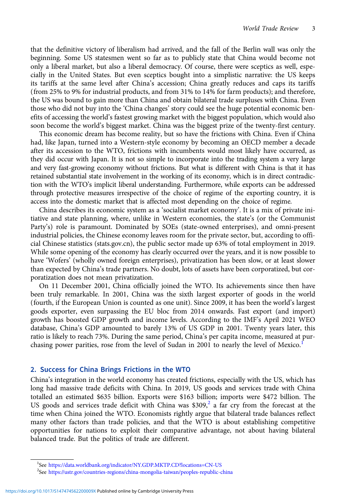that the definitive victory of liberalism had arrived, and the fall of the Berlin wall was only the beginning. Some US statesmen went so far as to publicly state that China would become not only a liberal market, but also a liberal democracy. Of course, there were sceptics as well, especially in the United States. But even sceptics bought into a simplistic narrative: the US keeps its tariffs at the same level after China's accession; China greatly reduces and caps its tariffs (from 25% to 9% for industrial products, and from 31% to 14% for farm products); and therefore, the US was bound to gain more than China and obtain bilateral trade surpluses with China. Even those who did not buy into the 'China changes' story could see the huge potential economic benefits of accessing the world's fastest growing market with the biggest population, which would also soon become the world's biggest market. China was the biggest prize of the twenty-first century.

This economic dream has become reality, but so have the frictions with China. Even if China had, like Japan, turned into a Western-style economy by becoming an OECD member a decade after its accession to the WTO, frictions with incumbents would most likely have occurred, as they did occur with Japan. It is not so simple to incorporate into the trading system a very large and very fast-growing economy without frictions. But what is different with China is that it has retained substantial state involvement in the working of its economy, which is in direct contradiction with the WTO's implicit liberal understanding. Furthermore, while exports can be addressed through protective measures irrespective of the choice of regime of the exporting country, it is access into the domestic market that is affected most depending on the choice of regime.

China describes its economic system as a 'socialist market economy'. It is a mix of private initiative and state planning, where, unlike in Western economies, the state's (or the Communist Party's) role is paramount. Dominated by SOEs (state-owned enterprises), and omni-present industrial policies, the Chinese economy leaves room for the private sector, but, according to official Chinese statistics (stats.gov.cn), the public sector made up 63% of total employment in 2019. While some opening of the economy has clearly occurred over the years, and it is now possible to have 'Wofers' (wholly owned foreign enterprises), privatization has been slow, or at least slower than expected by China's trade partners. No doubt, lots of assets have been corporatized, but corporatization does not mean privatization.

On 11 December 2001, China officially joined the WTO. Its achievements since then have been truly remarkable. In 2001, China was the sixth largest exporter of goods in the world (fourth, if the European Union is counted as one unit). Since 2009, it has been the world's largest goods exporter, even surpassing the EU bloc from 2014 onwards. Fast export (and import) growth has boosted GDP growth and income levels. According to the IMF's April 2021 WEO database, China's GDP amounted to barely 13% of US GDP in 2001. Twenty years later, this ratio is likely to reach 73%. During the same period, China's per capita income, measured at purchasing power parities, rose from the level of Sudan in 2001 to nearly the level of Mexico.<sup>1</sup>

## 2. Success for China Brings Frictions in the WTO

China's integration in the world economy has created frictions, especially with the US, which has long had massive trade deficits with China. In 2019, US goods and services trade with China totalled an estimated \$635 billion. Exports were \$163 billion; imports were \$472 billion. The US goods and services trade deficit with China was  $$309<sub>1</sub><sup>2</sup>$  a far cry from the forecast at the time when China joined the WTO. Economists rightly argue that bilateral trade balances reflect many other factors than trade policies, and that the WTO is about establishing competitive opportunities for nations to exploit their comparative advantage, not about having bilateral balanced trade. But the politics of trade are different.

<sup>&</sup>lt;sup>1</sup>See <https://data.worldbank.org/indicator/NY.GDP.MKTP.CD?locations=CN-US><br><sup>2</sup>See https://ustr.gov/countries.regions/china.mongolia-taiwan/peoples.republic-

<sup>&</sup>lt;sup>2</sup>See <https://ustr.gov/countries-regions/china-mongolia-taiwan/peoples-republic-china>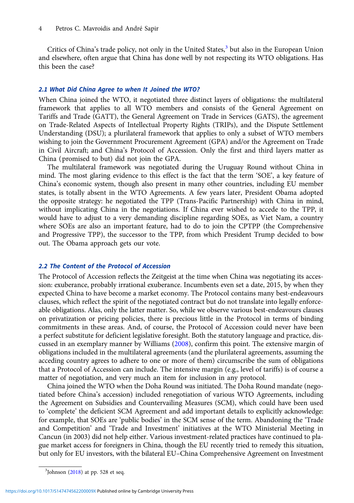Critics of China's trade policy, not only in the United States, $3$  but also in the European Union and elsewhere, often argue that China has done well by not respecting its WTO obligations. Has this been the case?

#### 2.1 What Did China Agree to when It Joined the WTO?

When China joined the WTO, it negotiated three distinct layers of obligations: the multilateral framework that applies to all WTO members and consists of the General Agreement on Tariffs and Trade (GATT), the General Agreement on Trade in Services (GATS), the agreement on Trade-Related Aspects of Intellectual Property Rights (TRIPs), and the Dispute Settlement Understanding (DSU); a plurilateral framework that applies to only a subset of WTO members wishing to join the Government Procurement Agreement (GPA) and/or the Agreement on Trade in Civil Aircraft; and China's Protocol of Accession. Only the first and third layers matter as China (promised to but) did not join the GPA.

The multilateral framework was negotiated during the Uruguay Round without China in mind. The most glaring evidence to this effect is the fact that the term 'SOE', a key feature of China's economic system, though also present in many other countries, including EU member states, is totally absent in the WTO Agreements. A few years later, President Obama adopted the opposite strategy: he negotiated the TPP (Trans-Pacific Partnership) with China in mind, without implicating China in the negotiations. If China ever wished to accede to the TPP, it would have to adjust to a very demanding discipline regarding SOEs, as Viet Nam, a country where SOEs are also an important feature, had to do to join the CPTPP (the Comprehensive and Progressive TPP), the successor to the TPP, from which President Trump decided to bow out. The Obama approach gets our vote.

## 2.2 The Content of the Protocol of Accession

The Protocol of Accession reflects the Zeitgeist at the time when China was negotiating its accession: exuberance, probably irrational exuberance. Incumbents even set a date, 2015, by when they expected China to have become a market economy. The Protocol contains many best-endeavours clauses, which reflect the spirit of the negotiated contract but do not translate into legally enforceable obligations. Alas, only the latter matter. So, while we observe various best-endeavours clauses on privatization or pricing policies, there is precious little in the Protocol in terms of binding commitments in these areas. And, of course, the Protocol of Accession could never have been a perfect substitute for deficient legislative foresight. Both the statutory language and practice, discussed in an exemplary manner by Williams [\(2008\)](#page-7-0), confirm this point. The extensive margin of obligations included in the multilateral agreements (and the plurilateral agreements, assuming the acceding country agrees to adhere to one or more of them) circumscribe the sum of obligations that a Protocol of Accession can include. The intensive margin (e.g., level of tariffs) is of course a matter of negotiation, and very much an item for inclusion in any protocol.

China joined the WTO when the Doha Round was initiated. The Doha Round mandate (negotiated before China's accession) included renegotiation of various WTO Agreements, including the Agreement on Subsidies and Countervailing Measures (SCM), which could have been used to 'complete' the deficient SCM Agreement and add important details to explicitly acknowledge: for example, that SOEs are 'public bodies' in the SCM sense of the term. Abandoning the 'Trade and Competition' and 'Trade and Investment' initiatives at the WTO Ministerial Meeting in Cancun (in 2003) did not help either. Various investment-related practices have continued to plague market access for foreigners in China, though the EU recently tried to remedy this situation, but only for EU investors, with the bilateral EU–China Comprehensive Agreement on Investment

<sup>&</sup>lt;sup>3</sup>Johnson [\(2018\)](#page-7-0) at pp. 528 et seq.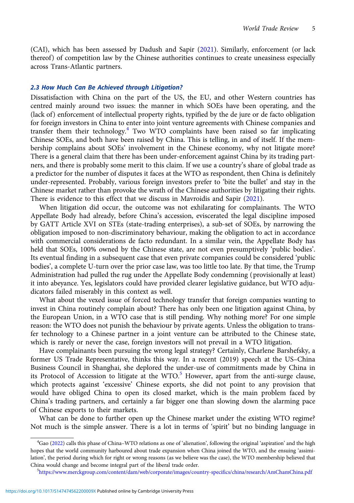(CAI), which has been assessed by Dadush and Sapir ([2021](#page-7-0)). Similarly, enforcement (or lack thereof) of competition law by the Chinese authorities continues to create uneasiness especially across Trans-Atlantic partners.

#### 2.3 How Much Can Be Achieved through Litigation?

Dissatisfaction with China on the part of the US, the EU, and other Western countries has centred mainly around two issues: the manner in which SOEs have been operating, and the (lack of) enforcement of intellectual property rights, typified by the de jure or de facto obligation for foreign investors in China to enter into joint venture agreements with Chinese companies and transfer them their technology.<sup>4</sup> Two WTO complaints have been raised so far implicating Chinese SOEs, and both have been raised by China. This is telling, in and of itself. If the membership complains about SOEs' involvement in the Chinese economy, why not litigate more? There is a general claim that there has been under-enforcement against China by its trading partners, and there is probably some merit to this claim. If we use a country's share of global trade as a predictor for the number of disputes it faces at the WTO as respondent, then China is definitely under-represented. Probably, various foreign investors prefer to 'bite the bullet' and stay in the Chinese market rather than provoke the wrath of the Chinese authorities by litigating their rights. There is evidence to this effect that we discuss in Mavroidis and Sapir ([2021](#page-7-0)).

When litigation did occur, the outcome was not exhilarating for complainants. The WTO Appellate Body had already, before China's accession, eviscerated the legal discipline imposed by GATT Article XVI on STEs (state-trading enterprises), a sub-set of SOEs, by narrowing the obligation imposed to non-discriminatory behaviour, making the obligation to act in accordance with commercial considerations de facto redundant. In a similar vein, the Appellate Body has held that SOEs, 100% owned by the Chinese state, are not even presumptively 'public bodies'. Its eventual finding in a subsequent case that even private companies could be considered 'public bodies', a complete U-turn over the prior case law, was too little too late. By that time, the Trump Administration had pulled the rug under the Appellate Body condemning (provisionally at least) it into abeyance. Yes, legislators could have provided clearer legislative guidance, but WTO adjudicators failed miserably in this context as well.

What about the vexed issue of forced technology transfer that foreign companies wanting to invest in China routinely complain about? There has only been one litigation against China, by the European Union, in a WTO case that is still pending. Why nothing more? For one simple reason: the WTO does not punish the behaviour by private agents. Unless the obligation to transfer technology to a Chinese partner in a joint venture can be attributed to the Chinese state, which is rarely or never the case, foreign investors will not prevail in a WTO litigation.

Have complainants been pursuing the wrong legal strategy? Certainly, Charlene Barshefsky, a former US Trade Representative, thinks this way. In a recent (2019) speech at the US–China Business Council in Shanghai, she deplored the under-use of commitments made by China in its Protocol of Accession to litigate at the WTO.<sup>5</sup> However, apart from the anti-surge clause, which protects against 'excessive' Chinese exports, she did not point to any provision that would have obliged China to open its closed market, which is the main problem faced by China's trading partners, and certainly a far bigger one than slowing down the alarming pace of Chinese exports to their markets.

What can be done to further open up the Chinese market under the existing WTO regime? Not much is the simple answer. There is a lot in terms of 'spirit' but no binding language in

<sup>4</sup> Gao [\(2022\)](#page-7-0) calls this phase of China–WTO relations as one of 'alienation', following the original 'aspiration' and the high hopes that the world community harboured about trade expansion when China joined the WTO, and the ensuing 'assimilation', the period during which for right or wrong reasons (as we believe was the case), the WTO membership believed that China would change and become integral part of the liberal trade order.

<https://www.merckgroup.com/content/dam/web/corporate/images/country-specifics/china/research/AmChamChina.pdf>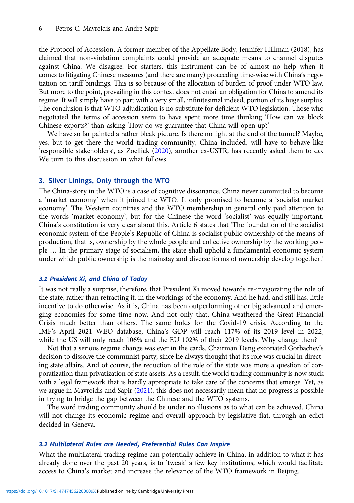the Protocol of Accession. A former member of the Appellate Body, Jennifer Hillman (2018), has claimed that non-violation complaints could provide an adequate means to channel disputes against China. We disagree. For starters, this instrument can be of almost no help when it comes to litigating Chinese measures (and there are many) proceeding time-wise with China's negotiation on tariff bindings. This is so because of the allocation of burden of proof under WTO law. But more to the point, prevailing in this context does not entail an obligation for China to amend its regime. It will simply have to part with a very small, infinitesimal indeed, portion of its huge surplus. The conclusion is that WTO adjudication is no substitute for deficient WTO legislation. Those who negotiated the terms of accession seem to have spent more time thinking 'How can we block Chinese exports?' than asking 'How do we guarantee that China will open up?'

We have so far painted a rather bleak picture. Is there no light at the end of the tunnel? Maybe, yes, but to get there the world trading community, China included, will have to behave like 'responsible stakeholders', as Zoellick [\(2020](#page-7-0)), another ex-USTR, has recently asked them to do. We turn to this discussion in what follows.

## 3. Silver Linings, Only through the WTO

The China-story in the WTO is a case of cognitive dissonance. China never committed to become a 'market economy' when it joined the WTO. It only promised to become a 'socialist market economy'. The Western countries and the WTO membership in general only paid attention to the words 'market economy', but for the Chinese the word 'socialist' was equally important. China's constitution is very clear about this. Article 6 states that 'The foundation of the socialist economic system of the People's Republic of China is socialist public ownership of the means of production, that is, ownership by the whole people and collective ownership by the working people … In the primary stage of socialism, the state shall uphold a fundamental economic system under which public ownership is the mainstay and diverse forms of ownership develop together.'

## 3.1 President Xi, and China of Today

It was not really a surprise, therefore, that President Xi moved towards re-invigorating the role of the state, rather than retracting it, in the workings of the economy. And he had, and still has, little incentive to do otherwise. As it is, China has been outperforming other big advanced and emerging economies for some time now. And not only that, China weathered the Great Financial Crisis much better than others. The same holds for the Covid-19 crisis. According to the IMF's April 2021 WEO database, China's GDP will reach 117% of its 2019 level in 2022, while the US will only reach 106% and the EU 102% of their 2019 levels. Why change then?

Not that a serious regime change was ever in the cards. Chairman Deng excoriated Gorbachev's decision to dissolve the communist party, since he always thought that its role was crucial in directing state affairs. And of course, the reduction of the role of the state was more a question of corporatization than privatization of state assets. As a result, the world trading community is now stuck with a legal framework that is hardly appropriate to take care of the concerns that emerge. Yet, as we argue in Mavroidis and Sapir [\(2021\)](#page-7-0), this does not necessarily mean that no progress is possible in trying to bridge the gap between the Chinese and the WTO systems.

The word trading community should be under no illusions as to what can be achieved. China will not change its economic regime and overall approach by legislative fiat, through an edict decided in Geneva.

#### 3.2 Multilateral Rules are Needed, Preferential Rules Can Inspire

What the multilateral trading regime can potentially achieve in China, in addition to what it has already done over the past 20 years, is to 'tweak' a few key institutions, which would facilitate access to China's market and increase the relevance of the WTO framework in Beijing.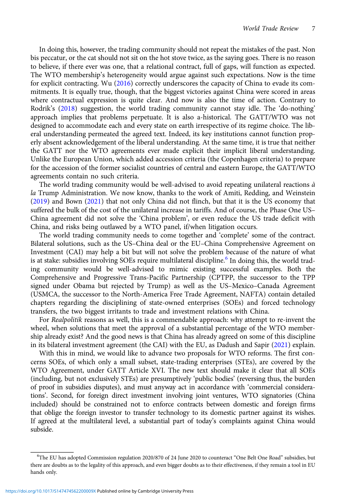In doing this, however, the trading community should not repeat the mistakes of the past. Non bis peccatur, or the cat should not sit on the hot stove twice, as the saying goes. There is no reason to believe, if there ever was one, that a relational contract, full of gaps, will function as expected. The WTO membership's heterogeneity would argue against such expectations. Now is the time for explicit contracting. Wu [\(2016](#page-7-0)) correctly underscores the capacity of China to evade its commitments. It is equally true, though, that the biggest victories against China were scored in areas where contractual expression is quite clear. And now is also the time of action. Contrary to Rodrik's ([2018](#page-7-0)) suggestion, the world trading community cannot stay idle. The 'do-nothing' approach implies that problems perpetuate. It is also a-historical. The GATT/WTO was not designed to accommodate each and every state on earth irrespective of its regime choice. The liberal understanding permeated the agreed text. Indeed, its key institutions cannot function properly absent acknowledgement of the liberal understanding. At the same time, it is true that neither the GATT nor the WTO agreements ever made explicit their implicit liberal understanding. Unlike the European Union, which added accession criteria (the Copenhagen criteria) to prepare for the accession of the former socialist countries of central and eastern Europe, the GATT/WTO agreements contain no such criteria.

The world trading community would be well-advised to avoid repeating unilateral reactions  $\dot{a}$ la Trump Administration. We now know, thanks to the work of Amiti, Redding, and Weinstein [\(2019\)](#page-7-0) and Bown [\(2021](#page-7-0)) that not only China did not flinch, but that it is the US economy that suffered the bulk of the cost of the unilateral increase in tariffs. And of course, the Phase One US– China agreement did not solve the 'China problem', or even reduce the US trade deficit with China, and risks being outlawed by a WTO panel, if/when litigation occurs.

The world trading community needs to come together and 'complete' some of the contract. Bilateral solutions, such as the US–China deal or the EU–China Comprehensive Agreement on Investment (CAI) may help a bit but will not solve the problem because of the nature of what is at stake: subsidies involving SOEs require multilateral discipline.<sup>6</sup> In doing this, the world trading community would be well-advised to mimic existing successful examples. Both the Comprehensive and Progressive Trans-Pacific Partnership (CPTPP, the successor to the TPP signed under Obama but rejected by Trump) as well as the US–Mexico–Canada Agreement (USMCA, the successor to the North-America Free Trade Agreement, NAFTA) contain detailed chapters regarding the disciplining of state-owned enterprises (SOEs) and forced technology transfers, the two biggest irritants to trade and investment relations with China.

For Realpolitik reasons as well, this is a commendable approach: why attempt to re-invent the wheel, when solutions that meet the approval of a substantial percentage of the WTO membership already exist? And the good news is that China has already agreed on some of this discipline in its bilateral investment agreement (the CAI) with the EU, as Dadush and Sapir ([2021](#page-7-0)) explain.

With this in mind, we would like to advance two proposals for WTO reforms. The first concerns SOEs, of which only a small subset, state-trading enterprises (STEs), are covered by the WTO Agreement, under GATT Article XVI. The new text should make it clear that all SOEs (including, but not exclusively STEs) are presumptively 'public bodies' (reversing thus, the burden of proof in subsidies disputes), and must anyway act in accordance with 'commercial considerations'. Second, for foreign direct investment involving joint ventures, WTO signatories (China included) should be constrained not to enforce contracts between domestic and foreign firms that oblige the foreign investor to transfer technology to its domestic partner against its wishes. If agreed at the multilateral level, a substantial part of today's complaints against China would subside.

<sup>6</sup> The EU has adopted Commission regulation 2020/870 of 24 June 2020 to counteract "One Belt One Road" subsidies, but there are doubts as to the legality of this approach, and even bigger doubts as to their effectiveness, if they remain a tool in EU hands only.